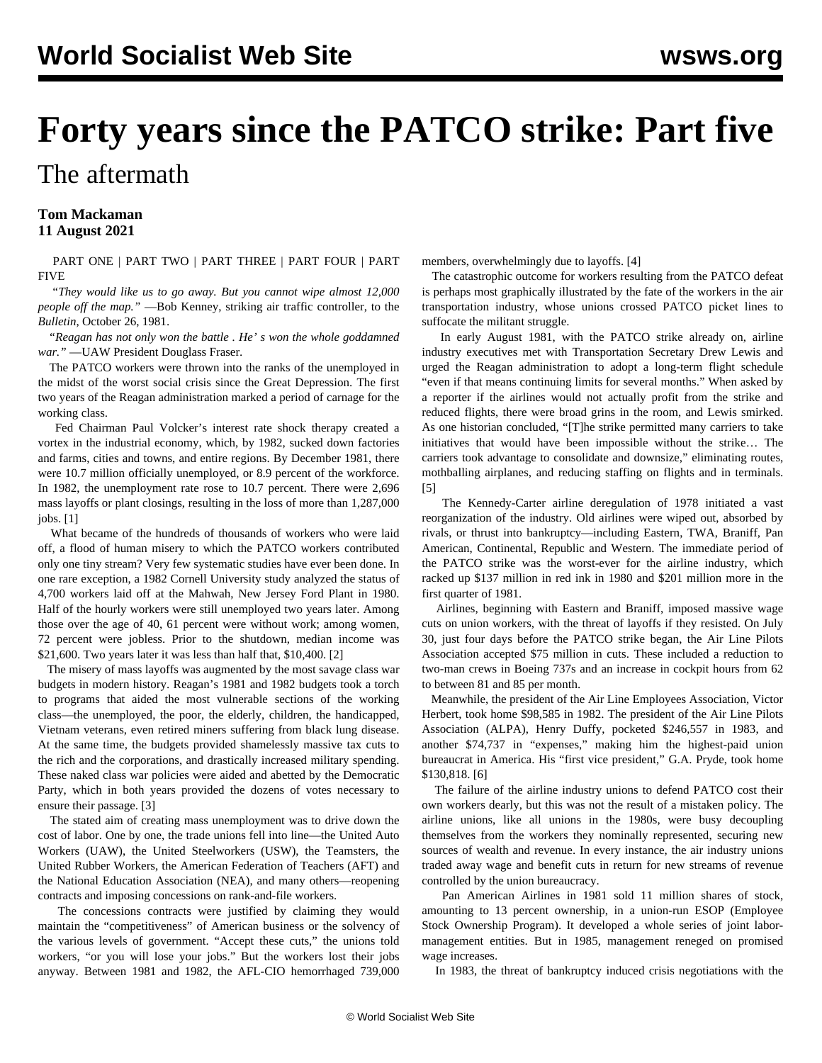# **Forty years since the PATCO strike: Part five** The aftermath

## **Tom Mackaman 11 August 2021**

 [PART ONE](/en/articles/2021/08/03/patc-a03.html) | [PART TWO](/en/articles/2021/08/04/pat2-a04.html) | [PART THREE](/en/articles/2021/08/07/patc-a07.html) | [PART FOUR](/en/articles/2021/08/09/patc-a09.html) | [PART](/en/articles/2021/08/12/patc-a12.html) [FIVE](/en/articles/2021/08/12/patc-a12.html)

 *"They would like us to go away. But you cannot wipe almost 12,000 people off the map."* —Bob Kenney, striking air traffic controller, to the *Bulletin*, October 26, 1981.

 *"Reagan has not only won the battle . He' s won the whole goddamned war."* —UAW President Douglass Fraser.

 The PATCO workers were thrown into the ranks of the unemployed in the midst of the worst social crisis since the Great Depression. The first two years of the Reagan administration marked a period of carnage for the working class.

 Fed Chairman Paul Volcker's interest rate shock therapy created a vortex in the industrial economy, which, by 1982, sucked down factories and farms, cities and towns, and entire regions. By December 1981, there were 10.7 million officially unemployed, or 8.9 percent of the workforce. In 1982, the unemployment rate rose to 10.7 percent. There were 2,696 mass layoffs or plant closings, resulting in the loss of more than 1,287,000 jobs. [1]

 What became of the hundreds of thousands of workers who were laid off, a flood of human misery to which the PATCO workers contributed only one tiny stream? Very few systematic studies have ever been done. In one rare exception, a 1982 Cornell University study analyzed the status of 4,700 workers laid off at the Mahwah, New Jersey Ford Plant in 1980. Half of the hourly workers were still unemployed two years later. Among those over the age of 40, 61 percent were without work; among women, 72 percent were jobless. Prior to the shutdown, median income was \$21,600. Two years later it was less than half that, \$10,400. [2]

 The misery of mass layoffs was augmented by the most savage class war budgets in modern history. Reagan's 1981 and 1982 budgets took a torch to programs that aided the most vulnerable sections of the working class—the unemployed, the poor, the elderly, children, the handicapped, Vietnam veterans, even retired miners suffering from black lung disease. At the same time, the budgets provided shamelessly massive tax cuts to the rich and the corporations, and drastically increased military spending. These naked class war policies were aided and abetted by the Democratic Party, which in both years provided the dozens of votes necessary to ensure their passage. [3]

 The stated aim of creating mass unemployment was to drive down the cost of labor. One by one, the trade unions fell into line—the United Auto Workers (UAW), the United Steelworkers (USW), the Teamsters, the United Rubber Workers, the American Federation of Teachers (AFT) and the National Education Association (NEA), and many others—reopening contracts and imposing concessions on rank-and-file workers.

 The concessions contracts were justified by claiming they would maintain the "competitiveness" of American business or the solvency of the various levels of government. "Accept these cuts," the unions told workers, "or you will lose your jobs." But the workers lost their jobs anyway. Between 1981 and 1982, the AFL-CIO hemorrhaged 739,000 members, overwhelmingly due to layoffs. [4]

 The catastrophic outcome for workers resulting from the PATCO defeat is perhaps most graphically illustrated by the fate of the workers in the air transportation industry, whose unions crossed PATCO picket lines to suffocate the militant struggle.

 In early August 1981, with the PATCO strike already on, airline industry executives met with Transportation Secretary Drew Lewis and urged the Reagan administration to adopt a long-term flight schedule "even if that means continuing limits for several months." When asked by a reporter if the airlines would not actually profit from the strike and reduced flights, there were broad grins in the room, and Lewis smirked. As one historian concluded, "[T]he strike permitted many carriers to take initiatives that would have been impossible without the strike… The carriers took advantage to consolidate and downsize," eliminating routes, mothballing airplanes, and reducing staffing on flights and in terminals. [5]

 The Kennedy-Carter airline deregulation of 1978 initiated a vast reorganization of the industry. Old airlines were wiped out, absorbed by rivals, or thrust into bankruptcy—including Eastern, TWA, Braniff, Pan American, Continental, Republic and Western. The immediate period of the PATCO strike was the worst-ever for the airline industry, which racked up \$137 million in red ink in 1980 and \$201 million more in the first quarter of 1981.

 Airlines, beginning with Eastern and Braniff, imposed massive wage cuts on union workers, with the threat of layoffs if they resisted. On July 30, just four days before the PATCO strike began, the Air Line Pilots Association accepted \$75 million in cuts. These included a reduction to two-man crews in Boeing 737s and an increase in cockpit hours from 62 to between 81 and 85 per month.

 Meanwhile, the president of the Air Line Employees Association, Victor Herbert, took home \$98,585 in 1982. The president of the Air Line Pilots Association (ALPA), Henry Duffy, pocketed \$246,557 in 1983, and another \$74,737 in "expenses," making him the highest-paid union bureaucrat in America. His "first vice president," G.A. Pryde, took home \$130,818. [6]

 The failure of the airline industry unions to defend PATCO cost their own workers dearly, but this was not the result of a mistaken policy. The airline unions, like all unions in the 1980s, were busy decoupling themselves from the workers they nominally represented, securing new sources of wealth and revenue. In every instance, the air industry unions traded away wage and benefit cuts in return for new streams of revenue controlled by the union bureaucracy.

 Pan American Airlines in 1981 sold 11 million shares of stock, amounting to 13 percent ownership, in a union-run ESOP (Employee Stock Ownership Program). It developed a whole series of joint labormanagement entities. But in 1985, management reneged on promised wage increases.

In 1983, the threat of bankruptcy induced crisis negotiations with the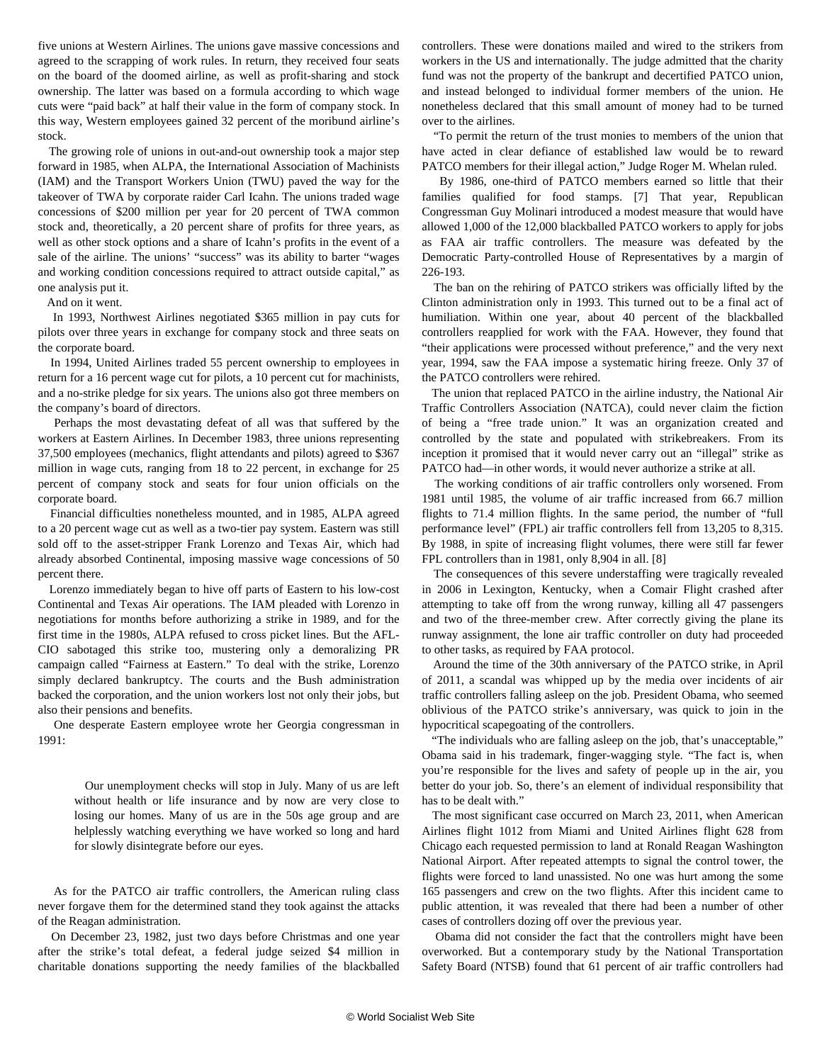five unions at Western Airlines. The unions gave massive concessions and agreed to the scrapping of work rules. In return, they received four seats on the board of the doomed airline, as well as profit-sharing and stock ownership. The latter was based on a formula according to which wage cuts were "paid back" at half their value in the form of company stock. In this way, Western employees gained 32 percent of the moribund airline's stock.

 The growing role of unions in out-and-out ownership took a major step forward in 1985, when ALPA, the International Association of Machinists (IAM) and the Transport Workers Union (TWU) paved the way for the takeover of TWA by corporate raider Carl Icahn. The unions traded wage concessions of \$200 million per year for 20 percent of TWA common stock and, theoretically, a 20 percent share of profits for three years, as well as other stock options and a share of Icahn's profits in the event of a sale of the airline. The unions' "success" was its ability to barter "wages and working condition concessions required to attract outside capital," as one analysis put it.

And on it went.

 In 1993, Northwest Airlines negotiated \$365 million in pay cuts for pilots over three years in exchange for company stock and three seats on the corporate board.

 In 1994, United Airlines traded 55 percent ownership to employees in return for a 16 percent wage cut for pilots, a 10 percent cut for machinists, and a no-strike pledge for six years. The unions also got three members on the company's board of directors.

 Perhaps the most devastating defeat of all was that suffered by the workers at Eastern Airlines. In December 1983, three unions representing 37,500 employees (mechanics, flight attendants and pilots) agreed to \$367 million in wage cuts, ranging from 18 to 22 percent, in exchange for 25 percent of company stock and seats for four union officials on the corporate board.

 Financial difficulties nonetheless mounted, and in 1985, ALPA agreed to a 20 percent wage cut as well as a two-tier pay system. Eastern was still sold off to the asset-stripper Frank Lorenzo and Texas Air, which had already absorbed Continental, imposing massive wage concessions of 50 percent there.

 Lorenzo immediately began to hive off parts of Eastern to his low-cost Continental and Texas Air operations. The IAM pleaded with Lorenzo in negotiations for months before authorizing a strike in 1989, and for the first time in the 1980s, ALPA refused to cross picket lines. But the AFL-CIO sabotaged this strike too, mustering only a demoralizing PR campaign called "Fairness at Eastern." To deal with the strike, Lorenzo simply declared bankruptcy. The courts and the Bush administration backed the corporation, and the union workers lost not only their jobs, but also their pensions and benefits.

 One desperate Eastern employee wrote her Georgia congressman in 1991:

 Our unemployment checks will stop in July. Many of us are left without health or life insurance and by now are very close to losing our homes. Many of us are in the 50s age group and are helplessly watching everything we have worked so long and hard for slowly disintegrate before our eyes.

 As for the PATCO air traffic controllers, the American ruling class never forgave them for the determined stand they took against the attacks of the Reagan administration.

 On December 23, 1982, just two days before Christmas and one year after the strike's total defeat, a federal judge seized \$4 million in charitable donations supporting the needy families of the blackballed controllers. These were donations mailed and wired to the strikers from workers in the US and internationally. The judge admitted that the charity fund was not the property of the bankrupt and decertified PATCO union, and instead belonged to individual former members of the union. He nonetheless declared that this small amount of money had to be turned over to the airlines.

 "To permit the return of the trust monies to members of the union that have acted in clear defiance of established law would be to reward PATCO members for their illegal action," Judge Roger M. Whelan ruled.

 By 1986, one-third of PATCO members earned so little that their families qualified for food stamps. [7] That year, Republican Congressman Guy Molinari introduced a modest measure that would have allowed 1,000 of the 12,000 blackballed PATCO workers to apply for jobs as FAA air traffic controllers. The measure was defeated by the Democratic Party-controlled House of Representatives by a margin of 226-193.

 The ban on the rehiring of PATCO strikers was officially lifted by the Clinton administration only in 1993. This turned out to be a final act of humiliation. Within one year, about 40 percent of the blackballed controllers reapplied for work with the FAA. However, they found that "their applications were processed without preference," and the very next year, 1994, saw the FAA impose a systematic hiring freeze. Only 37 of the PATCO controllers were rehired.

 The union that replaced PATCO in the airline industry, the National Air Traffic Controllers Association (NATCA), could never claim the fiction of being a "free trade union." It was an organization created and controlled by the state and populated with strikebreakers. From its inception it promised that it would never carry out an "illegal" strike as PATCO had—in other words, it would never authorize a strike at all.

 The working conditions of air traffic controllers only worsened. From 1981 until 1985, the volume of air traffic increased from 66.7 million flights to 71.4 million flights. In the same period, the number of "full performance level" (FPL) air traffic controllers fell from 13,205 to 8,315. By 1988, in spite of increasing flight volumes, there were still far fewer FPL controllers than in 1981, only 8,904 in all. [8]

 The consequences of this severe understaffing were tragically revealed in 2006 in Lexington, Kentucky, when a Comair Flight crashed after attempting to take off from the wrong runway, killing all 47 passengers and two of the three-member crew. After correctly giving the plane its runway assignment, the lone air traffic controller on duty had proceeded to other tasks, as required by FAA protocol.

 Around the time of the 30th anniversary of the PATCO strike, in April of 2011, a scandal was whipped up by the media over incidents of air traffic controllers falling asleep on the job. President Obama, who seemed oblivious of the PATCO strike's anniversary, was quick to join in the hypocritical scapegoating of the controllers.

 "The individuals who are falling asleep on the job, that's unacceptable," Obama said in his trademark, finger-wagging style. "The fact is, when you're responsible for the lives and safety of people up in the air, you better do your job. So, there's an element of individual responsibility that has to be dealt with."

 The most significant case occurred on March 23, 2011, when American Airlines flight 1012 from Miami and United Airlines flight 628 from Chicago each requested permission to land at Ronald Reagan Washington National Airport. After repeated attempts to signal the control tower, the flights were forced to land unassisted. No one was hurt among the some 165 passengers and crew on the two flights. After this incident came to public attention, it was revealed that there had been a number of other cases of controllers dozing off over the previous year.

 Obama did not consider the fact that the controllers might have been overworked. But a contemporary study by the National Transportation Safety Board (NTSB) found that 61 percent of air traffic controllers had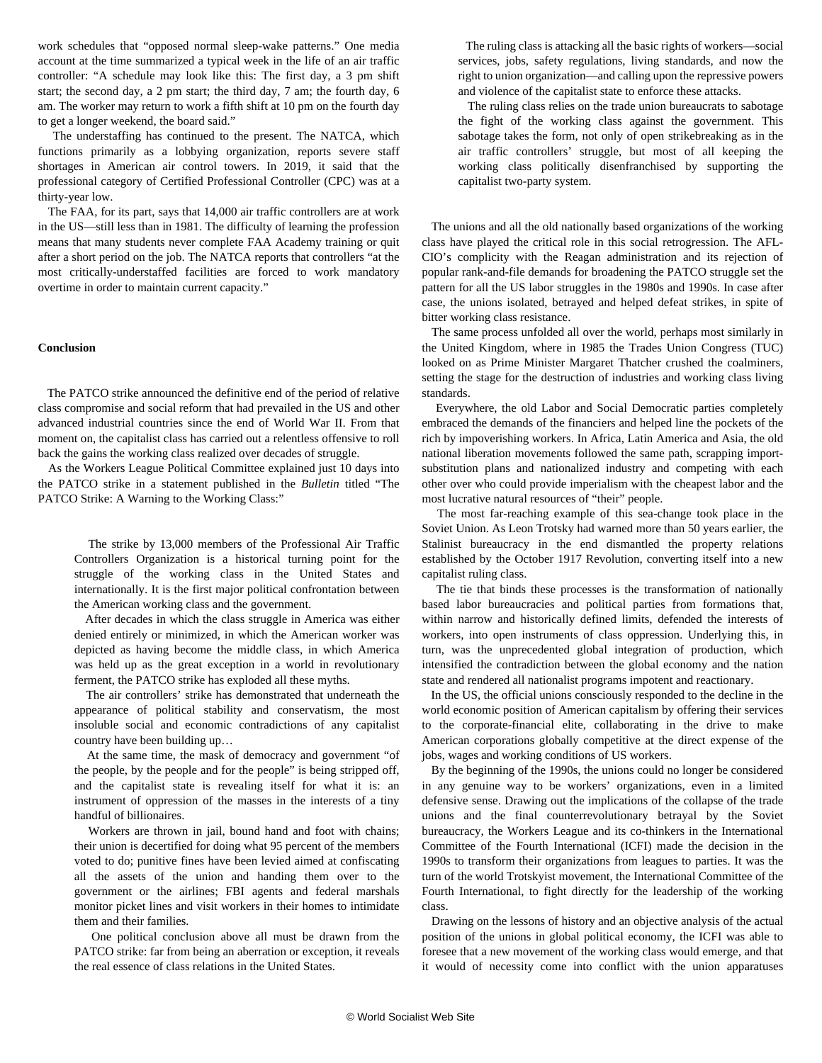work schedules that "opposed normal sleep-wake patterns." One media account at the time summarized a typical week in the life of an air traffic controller: "A schedule may look like this: The first day, a 3 pm shift start; the second day, a 2 pm start; the third day, 7 am; the fourth day, 6 am. The worker may return to work a fifth shift at 10 pm on the fourth day to get a longer weekend, the board said."

 The understaffing has continued to the present. The NATCA, which functions primarily as a lobbying organization, reports severe staff shortages in American air control towers. In 2019, it said that the professional category of Certified Professional Controller (CPC) was at a thirty-year low.

 The FAA, for its part, says that 14,000 air traffic controllers are at work in the US—still less than in 1981. The difficulty of learning the profession means that many students never complete FAA Academy training or quit after a short period on the job. The NATCA reports that controllers "at the most critically-understaffed facilities are forced to work mandatory overtime in order to maintain current capacity."

### **Conclusion**

 The PATCO strike announced the definitive end of the period of relative class compromise and social reform that had prevailed in the US and other advanced industrial countries since the end of World War II. From that moment on, the capitalist class has carried out a relentless offensive to roll back the gains the working class realized over decades of struggle.

 As the Workers League Political Committee explained just 10 days into the PATCO strike in a statement published in the *Bulletin* titled "The PATCO Strike: A Warning to the Working Class:"

 The strike by 13,000 members of the Professional Air Traffic Controllers Organization is a historical turning point for the struggle of the working class in the United States and internationally. It is the first major political confrontation between the American working class and the government.

 After decades in which the class struggle in America was either denied entirely or minimized, in which the American worker was depicted as having become the middle class, in which America was held up as the great exception in a world in revolutionary ferment, the PATCO strike has exploded all these myths.

 The air controllers' strike has demonstrated that underneath the appearance of political stability and conservatism, the most insoluble social and economic contradictions of any capitalist country have been building up…

 At the same time, the mask of democracy and government "of the people, by the people and for the people" is being stripped off, and the capitalist state is revealing itself for what it is: an instrument of oppression of the masses in the interests of a tiny handful of billionaires.

 Workers are thrown in jail, bound hand and foot with chains; their union is decertified for doing what 95 percent of the members voted to do; punitive fines have been levied aimed at confiscating all the assets of the union and handing them over to the government or the airlines; FBI agents and federal marshals monitor picket lines and visit workers in their homes to intimidate them and their families.

 One political conclusion above all must be drawn from the PATCO strike: far from being an aberration or exception, it reveals the real essence of class relations in the United States.

 The ruling class is attacking all the basic rights of workers—social services, jobs, safety regulations, living standards, and now the right to union organization—and calling upon the repressive powers and violence of the capitalist state to enforce these attacks.

 The ruling class relies on the trade union bureaucrats to sabotage the fight of the working class against the government. This sabotage takes the form, not only of open strikebreaking as in the air traffic controllers' struggle, but most of all keeping the working class politically disenfranchised by supporting the capitalist two-party system.

 The unions and all the old nationally based organizations of the working class have played the critical role in this social retrogression. The AFL-CIO's complicity with the Reagan administration and its rejection of popular rank-and-file demands for broadening the PATCO struggle set the pattern for all the US labor struggles in the 1980s and 1990s. In case after case, the unions isolated, betrayed and helped defeat strikes, in spite of bitter working class resistance.

 The same process unfolded all over the world, perhaps most similarly in the United Kingdom, where in 1985 the Trades Union Congress (TUC) looked on as Prime Minister Margaret Thatcher crushed the coalminers, setting the stage for the destruction of industries and working class living standards.

 Everywhere, the old Labor and Social Democratic parties completely embraced the demands of the financiers and helped line the pockets of the rich by impoverishing workers. In Africa, Latin America and Asia, the old national liberation movements followed the same path, scrapping importsubstitution plans and nationalized industry and competing with each other over who could provide imperialism with the cheapest labor and the most lucrative natural resources of "their" people.

 The most far-reaching example of this sea-change took place in the Soviet Union. As Leon Trotsky had warned more than 50 years earlier, the Stalinist bureaucracy in the end dismantled the property relations established by the October 1917 Revolution, converting itself into a new capitalist ruling class.

 The tie that binds these processes is the transformation of nationally based labor bureaucracies and political parties from formations that, within narrow and historically defined limits, defended the interests of workers, into open instruments of class oppression. Underlying this, in turn, was the unprecedented global integration of production, which intensified the contradiction between the global economy and the nation state and rendered all nationalist programs impotent and reactionary.

 In the US, the official unions consciously responded to the decline in the world economic position of American capitalism by offering their services to the corporate-financial elite, collaborating in the drive to make American corporations globally competitive at the direct expense of the jobs, wages and working conditions of US workers.

 By the beginning of the 1990s, the unions could no longer be considered in any genuine way to be workers' organizations, even in a limited defensive sense. Drawing out the implications of the collapse of the trade unions and the final counterrevolutionary betrayal by the Soviet bureaucracy, the Workers League and its co-thinkers in the International Committee of the Fourth International (ICFI) made the decision in the 1990s to transform their organizations from leagues to parties. It was the turn of the world Trotskyist movement, the International Committee of the Fourth International, to fight directly for the leadership of the working class.

 Drawing on the lessons of history and an objective analysis of the actual position of the unions in global political economy, the ICFI was able to foresee that a new movement of the working class would emerge, and that it would of necessity come into conflict with the union apparatuses